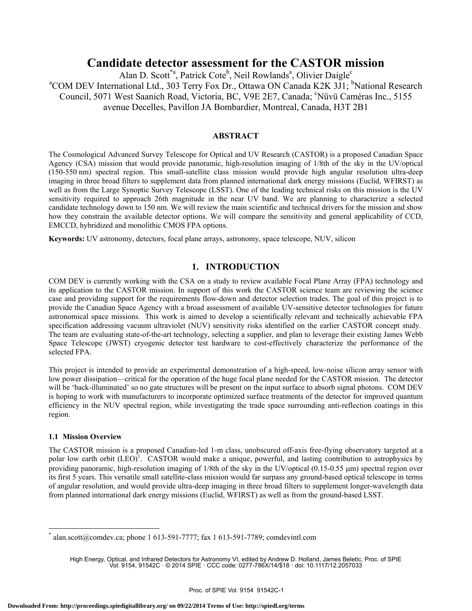# **Candidate detector assessment for the CASTOR mission**

Alan D. Scott<sup>\*a</sup>, Patrick Cote<sup>b</sup>, Neil Rowlands<sup>a</sup>, Olivier Daigle<sup>c</sup> <sup>a</sup>COM DEV International Ltd., 303 Terry Fox Dr., Ottawa ON Canada K2K 3J1; <sup>b</sup>National Research Council, 5071 West Saanich Road, Victoria, BC, V9E 2E7, Canada; 'Nüvü Caméras Inc., 5155 avenue Decelles, Pavillon JA Bombardier, Montreal, Canada, H3T 2B1

### **ABSTRACT**

The Cosmological Advanced Survey Telescope for Optical and UV Research (CASTOR) is a proposed Canadian Space Agency (CSA) mission that would provide panoramic, high-resolution imaging of 1/8th of the sky in the UV/optical (150-550 nm) spectral region. This small-satellite class mission would provide high angular resolution ultra-deep imaging in three broad filters to supplement data from planned international dark energy missions (Euclid, WFIRST) as well as from the Large Synoptic Survey Telescope (LSST). One of the leading technical risks on this mission is the UV sensitivity required to approach 26th magnitude in the near UV band. We are planning to characterize a selected candidate technology down to 150 nm. We will review the main scientific and technical drivers for the mission and show how they constrain the available detector options. We will compare the sensitivity and general applicability of CCD, EMCCD, hybridized and monolithic CMOS FPA options.

**Keywords:** UV astronomy, detectors, focal plane arrays, astronomy, space telescope, NUV, silicon

# **1. INTRODUCTION**

COM DEV is currently working with the CSA on a study to review available Focal Plane Array (FPA) technology and its application to the CASTOR mission. In support of this work the CASTOR science team are reviewing the science case and providing support for the requirements flow-down and detector selection trades. The goal of this project is to provide the Canadian Space Agency with a broad assessment of available UV-sensitive detector technologies for future astronomical space missions. This work is aimed to develop a scientifically relevant and technically achievable FPA specification addressing vacuum ultraviolet (NUV) sensitivity risks identified on the earlier CASTOR concept study. The team are evaluating state-of-the-art technology, selecting a supplier, and plan to leverage their existing James Webb Space Telescope (JWST) cryogenic detector test hardware to cost-effectively characterize the performance of the selected FPA.

This project is intended to provide an experimental demonstration of a high-speed, low-noise silicon array sensor with low power dissipation—critical for the operation of the huge focal plane needed for the CASTOR mission. The detector will be 'back-illuminated' so no gate structures will be present on the input surface to absorb signal photons. COM DEV is hoping to work with manufacturers to incorporate optimized surface treatments of the detector for improved quantum efficiency in the NUV spectral region, while investigating the trade space surrounding anti-reflection coatings in this region.

### **1.1 Mission Overview**

 $\overline{a}$ 

The CASTOR mission is a proposed Canadian-led 1-m class, unobscured off-axis free-flying observatory targeted at a polar low earth orbit  $(LEO)^T$ . CASTOR would make a unique, powerful, and lasting contribution to astrophysics by providing panoramic, high-resolution imaging of 1/8th of the sky in the UV/optical (0.15-0.55 μm) spectral region over its first 5 years. This versatile small satellite-class mission would far surpass any ground-based optical telescope in terms of angular resolution, and would provide ultra-deep imaging in three broad filters to supplement longer-wavelength data from planned international dark energy missions (Euclid, WFIRST) as well as from the ground-based LSST.

<sup>\*</sup> alan.scott@comdev.ca; phone 1 613-591-7777; fax 1 613-591-7789; comdevintl.com

High Energy, Optical, and Infrared Detectors for Astronomy VI, edited by Andrew D. Holland, James Beletic, Proc. of SPIE Vol. 9154, 91542C · © 2014 SPIE · CCC code: 0277-786X/14/\$18 · doi: 10.1117/12.2057033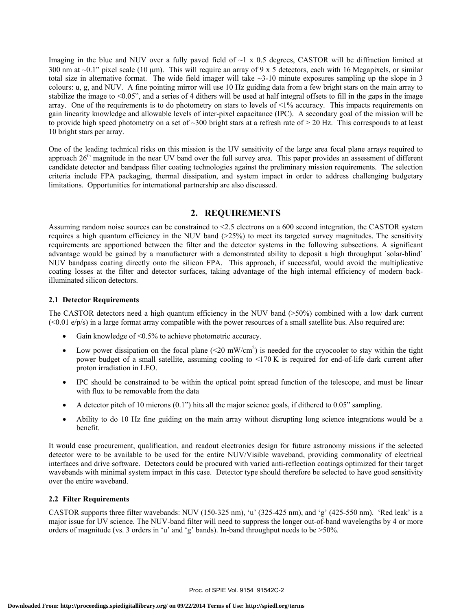Imaging in the blue and NUV over a fully paved field of  $\sim$ 1 x 0.5 degrees, CASTOR will be diffraction limited at 300 nm at  $\sim$ 0.1" pixel scale (10 µm). This will require an array of 9 x 5 detectors, each with 16 Megapixels, or similar total size in alternative format. The wide field imager will take  $\sim$ 3-10 minute exposures sampling up the slope in 3 colours: u, g, and NUV. A fine pointing mirror will use 10 Hz guiding data from a few bright stars on the main array to stabilize the image to  $\leq 0.05$ ", and a series of 4 dithers will be used at half integral offsets to fill in the gaps in the image array. One of the requirements is to do photometry on stars to levels of  $\langle 1\%$  accuracy. This impacts requirements on gain linearity knowledge and allowable levels of inter-pixel capacitance (IPC). A secondary goal of the mission will be to provide high speed photometry on a set of ~300 bright stars at a refresh rate of > 20 Hz. This corresponds to at least 10 bright stars per array.

One of the leading technical risks on this mission is the UV sensitivity of the large area focal plane arrays required to approach  $26<sup>th</sup>$  magnitude in the near UV band over the full survey area. This paper provides an assessment of different candidate detector and bandpass filter coating technologies against the preliminary mission requirements. The selection criteria include FPA packaging, thermal dissipation, and system impact in order to address challenging budgetary limitations. Opportunities for international partnership are also discussed.

# **2. REQUIREMENTS**

Assuming random noise sources can be constrained to <2.5 electrons on a 600 second integration, the CASTOR system requires a high quantum efficiency in the NUV band  $(>25%)$  to meet its targeted survey magnitudes. The sensitivity requirements are apportioned between the filter and the detector systems in the following subsections. A significant advantage would be gained by a manufacturer with a demonstrated ability to deposit a high throughput `solar-blind` NUV bandpass coating directly onto the silicon FPA. This approach, if successful, would avoid the multiplicative coating losses at the filter and detector surfaces, taking advantage of the high internal efficiency of modern backilluminated silicon detectors.

### **2.1 Detector Requirements**

The CASTOR detectors need a high quantum efficiency in the NUV band (>50%) combined with a low dark current  $\langle 0.01 \text{ e/p/s} \rangle$  in a large format array compatible with the power resources of a small satellite bus. Also required are:

- Gain knowledge of <0.5% to achieve photometric accuracy.
- Low power dissipation on the focal plane  $(\leq 20 \text{ mW/cm}^2)$  is needed for the cryocooler to stay within the tight power budget of a small satellite, assuming cooling to <170 K is required for end-of-life dark current after proton irradiation in LEO.
- IPC should be constrained to be within the optical point spread function of the telescope, and must be linear with flux to be removable from the data
- A detector pitch of 10 microns (0.1") hits all the major science goals, if dithered to 0.05" sampling.
- Ability to do 10 Hz fine guiding on the main array without disrupting long science integrations would be a benefit.

It would ease procurement, qualification, and readout electronics design for future astronomy missions if the selected detector were to be available to be used for the entire NUV/Visible waveband, providing commonality of electrical interfaces and drive software. Detectors could be procured with varied anti-reflection coatings optimized for their target wavebands with minimal system impact in this case. Detector type should therefore be selected to have good sensitivity over the entire waveband.

#### **2.2 Filter Requirements**

CASTOR supports three filter wavebands: NUV (150-325 nm), 'u' (325-425 nm), and 'g' (425-550 nm). 'Red leak' is a major issue for UV science. The NUV-band filter will need to suppress the longer out-of-band wavelengths by 4 or more orders of magnitude (vs. 3 orders in 'u' and 'g' bands). In-band throughput needs to be >50%.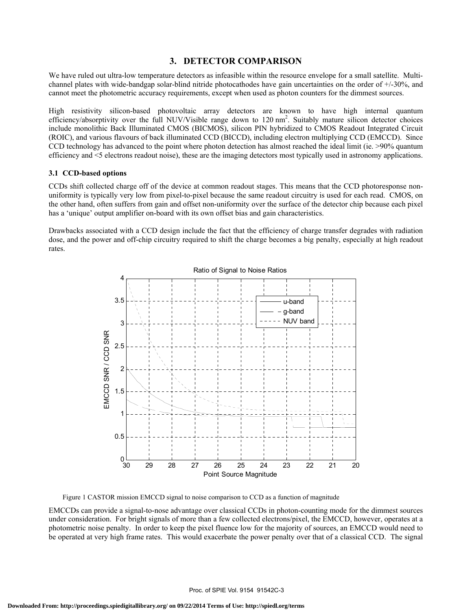### **3. DETECTOR COMPARISON**

We have ruled out ultra-low temperature detectors as infeasible within the resource envelope for a small satellite. Multichannel plates with wide-bandgap solar-blind nitride photocathodes have gain uncertainties on the order of +/-30%, and cannot meet the photometric accuracy requirements, except when used as photon counters for the dimmest sources.

High resistivity silicon-based photovoltaic array detectors are known to have high internal quantum efficiency/absorptivity over the full NUV/Visible range down to 120 nm<sup>2</sup>. Suitably mature silicon detector choices include monolithic Back Illuminated CMOS (BICMOS), silicon PIN hybridized to CMOS Readout Integrated Circuit (ROIC), and various flavours of back illuminated CCD (BICCD), including electron multiplying CCD (EMCCD). Since CCD technology has advanced to the point where photon detection has almost reached the ideal limit (ie. >90% quantum efficiency and <5 electrons readout noise), these are the imaging detectors most typically used in astronomy applications.

#### **3.1 CCD-based options**

CCDs shift collected charge off of the device at common readout stages. This means that the CCD photoresponse nonuniformity is typically very low from pixel-to-pixel because the same readout circuitry is used for each read. CMOS, on the other hand, often suffers from gain and offset non-uniformity over the surface of the detector chip because each pixel has a 'unique' output amplifier on-board with its own offset bias and gain characteristics.

Drawbacks associated with a CCD design include the fact that the efficiency of charge transfer degrades with radiation dose, and the power and off-chip circuitry required to shift the charge becomes a big penalty, especially at high readout rates.



Figure 1 CASTOR mission EMCCD signal to noise comparison to CCD as a function of magnitude

EMCCDs can provide a signal-to-nose advantage over classical CCDs in photon-counting mode for the dimmest sources under consideration. For bright signals of more than a few collected electrons/pixel, the EMCCD, however, operates at a photometric noise penalty. In order to keep the pixel fluence low for the majority of sources, an EMCCD would need to be operated at very high frame rates. This would exacerbate the power penalty over that of a classical CCD. The signal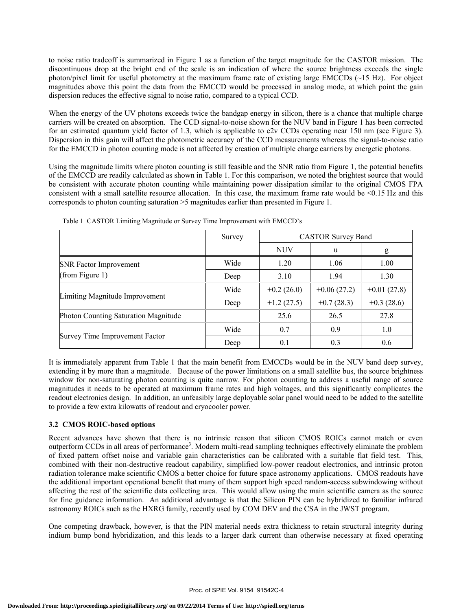to noise ratio tradeoff is summarized in Figure 1 as a function of the target magnitude for the CASTOR mission. The discontinuous drop at the bright end of the scale is an indication of where the source brightness exceeds the single photon/pixel limit for useful photometry at the maximum frame rate of existing large EMCCDs  $(\sim 15 \text{ Hz})$ . For object magnitudes above this point the data from the EMCCD would be processed in analog mode, at which point the gain dispersion reduces the effective signal to noise ratio, compared to a typical CCD.

When the energy of the UV photons exceeds twice the bandgap energy in silicon, there is a chance that multiple charge carriers will be created on absorption. The CCD signal-to-noise shown for the NUV band in Figure 1 has been corrected for an estimated quantum yield factor of 1.3, which is applicable to e2v CCDs operating near 150 nm (see Figure 3). Dispersion in this gain will affect the photometric accuracy of the CCD measurements whereas the signal-to-noise ratio for the EMCCD in photon counting mode is not affected by creation of multiple charge carriers by energetic photons.

Using the magnitude limits where photon counting is still feasible and the SNR ratio from Figure 1, the potential benefits of the EMCCD are readily calculated as shown in Table 1. For this comparison, we noted the brightest source that would be consistent with accurate photon counting while maintaining power dissipation similar to the original CMOS FPA consistent with a small satellite resource allocation. In this case, the maximum frame rate would be <0.15 Hz and this corresponds to photon counting saturation >5 magnitudes earlier than presented in Figure 1.

|                                      | Survey | <b>CASTOR Survey Band</b> |               |               |  |
|--------------------------------------|--------|---------------------------|---------------|---------------|--|
|                                      |        | <b>NUV</b>                | u             | g             |  |
| <b>SNR Factor Improvement</b>        | Wide   | 1.20                      | 1.06          | 1.00          |  |
| (from Figure 1)                      | Deep   | 3.10                      | 1.94          | 1.30          |  |
|                                      | Wide   | $+0.2(26.0)$              | $+0.06(27.2)$ | $+0.01(27.8)$ |  |
| Limiting Magnitude Improvement       | Deep   | $+1.2(27.5)$              | $+0.7(28.3)$  | $+0.3(28.6)$  |  |
| Photon Counting Saturation Magnitude |        | 25.6                      | 26.5          | 27.8          |  |
|                                      | Wide   | 0.7                       | 0.9           | 1.0           |  |
| Survey Time Improvement Factor       | Deep   | 0.1                       | 0.3           | 0.6           |  |

Table 1 CASTOR Limiting Magnitude or Survey Time Improvement with EMCCD's

It is immediately apparent from Table 1 that the main benefit from EMCCDs would be in the NUV band deep survey, extending it by more than a magnitude. Because of the power limitations on a small satellite bus, the source brightness window for non-saturating photon counting is quite narrow. For photon counting to address a useful range of source magnitudes it needs to be operated at maximum frame rates and high voltages, and this significantly complicates the readout electronics design. In addition, an unfeasibly large deployable solar panel would need to be added to the satellite to provide a few extra kilowatts of readout and cryocooler power.

### **3.2 CMOS ROIC-based options**

Recent advances have shown that there is no intrinsic reason that silicon CMOS ROICs cannot match or even outperform CCDs in all areas of performance<sup>3</sup>. Modern multi-read sampling techniques effectively eliminate the problem of fixed pattern offset noise and variable gain characteristics can be calibrated with a suitable flat field test. This, combined with their non-destructive readout capability, simplified low-power readout electronics, and intrinsic proton radiation tolerance make scientific CMOS a better choice for future space astronomy applications. CMOS readouts have the additional important operational benefit that many of them support high speed random-access subwindowing without affecting the rest of the scientific data collecting area. This would allow using the main scientific camera as the source for fine guidance information. An additional advantage is that the Silicon PIN can be hybridized to familiar infrared astronomy ROICs such as the HXRG family, recently used by COM DEV and the CSA in the JWST program.

One competing drawback, however, is that the PIN material needs extra thickness to retain structural integrity during indium bump bond hybridization, and this leads to a larger dark current than otherwise necessary at fixed operating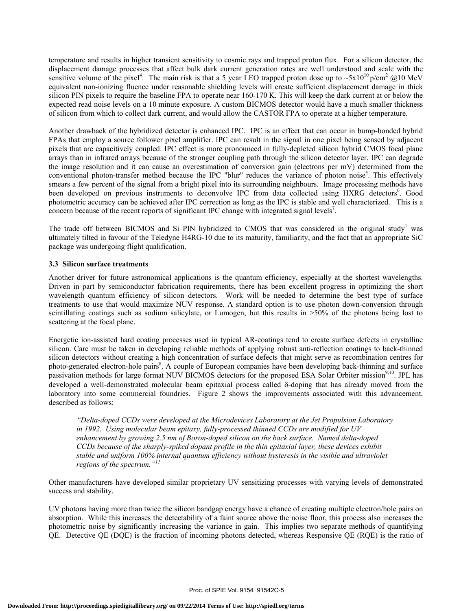temperature and results in higher transient sensitivity to cosmic rays and trapped proton flux. For a silicon detector, the displacement damage processes that affect bulk dark current generation rates are well understood and scale with the sensitive volume of the pixel<sup>4</sup>. The main risk is that a 5 year LEO trapped proton dose up to  $\sim 5x10^{10}$  p/cm<sup>2</sup> @10 MeV equivalent non-ionizing fluence under reasonable shielding levels will create sufficient displacement damage in thick silicon PIN pixels to require the baseline FPA to operate near 160-170 K. This will keep the dark current at or below the expected read noise levels on a 10 minute exposure. A custom BICMOS detector would have a much smaller thickness of silicon from which to collect dark current, and would allow the CASTOR FPA to operate at a higher temperature.

Another drawback of the hybridized detector is enhanced IPC. IPC is an effect that can occur in bump-bonded hybrid FPAs that employ a source follower pixel amplifier. IPC can result in the signal in one pixel being sensed by adjacent pixels that are capacitively coupled. IPC effect is more pronounced in fully-depleted silicon hybrid CMOS focal plane arrays than in infrared arrays because of the stronger coupling path through the silicon detector layer. IPC can degrade the image resolution and it can cause an overestimation of conversion gain (electrons per mV) determined from the conventional photon-transfer method because the IPC "blur" reduces the variance of photon noise<sup>5</sup>. This effectively smears a few percent of the signal from a bright pixel into its surrounding neighbours. Image processing methods have been developed on previous instruments to deconvolve IPC from data collected using HXRG detectors<sup>6</sup>. Good photometric accuracy can be achieved after IPC correction as long as the IPC is stable and well characterized. This is a concern because of the recent reports of significant IPC change with integrated signal levels<sup>7</sup>.

The trade off between BICMOS and Si PIN hybridized to CMOS that was considered in the original study<sup>1</sup> was ultimately tilted in favour of the Teledyne H4RG-10 due to its maturity, familiarity, and the fact that an appropriate SiC package was undergoing flight qualification.

### **3.3 Silicon surface treatments**

Another driver for future astronomical applications is the quantum efficiency, especially at the shortest wavelengths. Driven in part by semiconductor fabrication requirements, there has been excellent progress in optimizing the short wavelength quantum efficiency of silicon detectors. Work will be needed to determine the best type of surface treatments to use that would maximize NUV response. A standard option is to use photon down-conversion through scintillating coatings such as sodium salicylate, or Lumogen, but this results in >50% of the photons being lost to scattering at the focal plane.

Energetic ion-assisted hard coating processes used in typical AR-coatings tend to create surface defects in crystalline silicon. Care must be taken in developing reliable methods of applying robust anti-reflection coatings to back-thinned silicon detectors without creating a high concentration of surface defects that might serve as recombination centres for photo-generated electron-hole pairs<sup>8</sup>. A couple of European companies have been developing back-thinning and surface passivation methods for large format NUV BICMOS detectors for the proposed ESA Solar Orbiter mission<sup>9,10</sup>. JPL has developed a well-demonstrated molecular beam epitaxial process called δ-doping that has already moved from the laboratory into some commercial foundries. Figure 2 shows the improvements associated with this advancement, described as follows:

*"Delta-doped CCDs were developed at the Microdevices Laboratory at the Jet Propulsion Laboratory in 1992. Using molecular beam epitaxy, fully-processed thinned CCDs are modified for UV enhancement by growing 2.5 nm of Boron-doped silicon on the back surface. Named delta-doped CCDs because of the sharply-spiked dopant profile in the thin epitaxial layer, these devices exhibit stable and uniform 100% internal quantum efficiency without hysteresis in the visible and ultraviolet regions of the spectrum."11*

Other manufacturers have developed similar proprietary UV sensitizing processes with varying levels of demonstrated success and stability.

UV photons having more than twice the silicon bandgap energy have a chance of creating multiple electron/hole pairs on absorption. While this increases the detectability of a faint source above the noise floor, this process also increases the photometric noise by significantly increasing the variance in gain. This implies two separate methods of quantifying QE. Detective QE (DQE) is the fraction of incoming photons detected, whereas Responsive QE (RQE) is the ratio of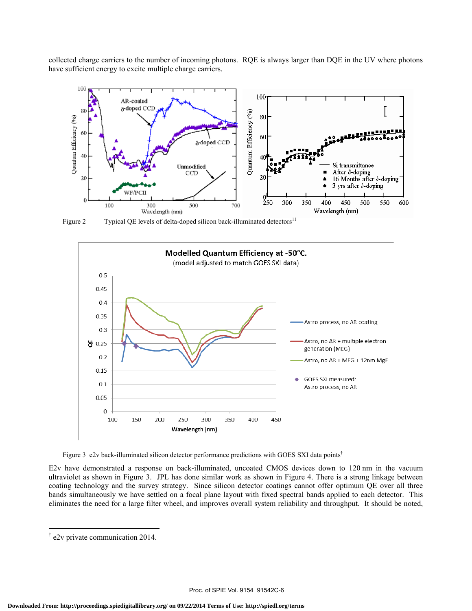collected charge carriers to the number of incoming photons. RQE is always larger than DQE in the UV where photons have sufficient energy to excite multiple charge carriers.



Figure 2 Typical QE levels of delta-doped silicon back-illuminated detectors<sup>11</sup>



Figure 3 e2v back-illuminated silicon detector performance predictions with GOES SXI data points<sup>†</sup>

E2v have demonstrated a response on back-illuminated, uncoated CMOS devices down to 120 nm in the vacuum ultraviolet as shown in Figure 3. JPL has done similar work as shown in Figure 4. There is a strong linkage between coating technology and the survey strategy. Since silicon detector coatings cannot offer optimum QE over all three bands simultaneously we have settled on a focal plane layout with fixed spectral bands applied to each detector. This eliminates the need for a large filter wheel, and improves overall system reliability and throughput. It should be noted,

 $\overline{a}$ 

<sup>†</sup> e2v private communication 2014.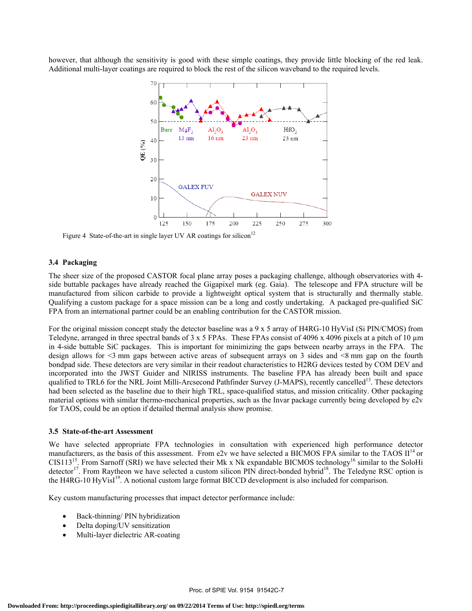however, that although the sensitivity is good with these simple coatings, they provide little blocking of the red leak. Additional multi-layer coatings are required to block the rest of the silicon waveband to the required levels.



Figure 4 State-of-the-art in single layer UV AR coatings for silicon<sup>12</sup>

#### **3.4 Packaging**

The sheer size of the proposed CASTOR focal plane array poses a packaging challenge, although observatories with 4 side buttable packages have already reached the Gigapixel mark (eg. Gaia). The telescope and FPA structure will be manufactured from silicon carbide to provide a lightweight optical system that is structurally and thermally stable. Qualifying a custom package for a space mission can be a long and costly undertaking. A packaged pre-qualified SiC FPA from an international partner could be an enabling contribution for the CASTOR mission.

For the original mission concept study the detector baseline was a 9 x 5 array of H4RG-10 HyVisI (Si PIN/CMOS) from Teledyne, arranged in three spectral bands of  $3 \times 5$  FPAs. These FPAs consist of 4096 x 4096 pixels at a pitch of 10  $\mu$ m in 4-side buttable SiC packages. This is important for minimizing the gaps between nearby arrays in the FPA. The design allows for <3 mm gaps between active areas of subsequent arrays on 3 sides and <8 mm gap on the fourth bondpad side. These detectors are very similar in their readout characteristics to H2RG devices tested by COM DEV and incorporated into the JWST Guider and NIRISS instruments. The baseline FPA has already been built and space qualified to TRL6 for the NRL Joint Milli-Arcsecond Pathfinder Survey (J-MAPS), recently cancelled<sup>13</sup>. These detectors had been selected as the baseline due to their high TRL, space-qualified status, and mission criticality. Other packaging material options with similar thermo-mechanical properties, such as the Invar package currently being developed by e2v for TAOS, could be an option if detailed thermal analysis show promise.

#### **3.5 State-of-the-art Assessment**

We have selected appropriate FPA technologies in consultation with experienced high performance detector manufacturers, as the basis of this assessment. From e2v we have selected a BICMOS FPA similar to the TAOS  $II<sup>14</sup>$  or CIS113<sup>15</sup>. From Sarnoff (SRI) we have selected their Mk x Nk expandable BICMOS technology<sup>16</sup> similar to the SoloHi detector<sup>17</sup>. From Raytheon we have selected a custom silicon PIN direct-bonded hybrid<sup>18</sup>. The Teledyne RSC option is the H4RG-10 HyVisI<sup>19</sup>. A notional custom large format BICCD development is also included for comparison.

Key custom manufacturing processes that impact detector performance include:

- Back-thinning/ PIN hybridization
- Delta doping/UV sensitization
- Multi-layer dielectric AR-coating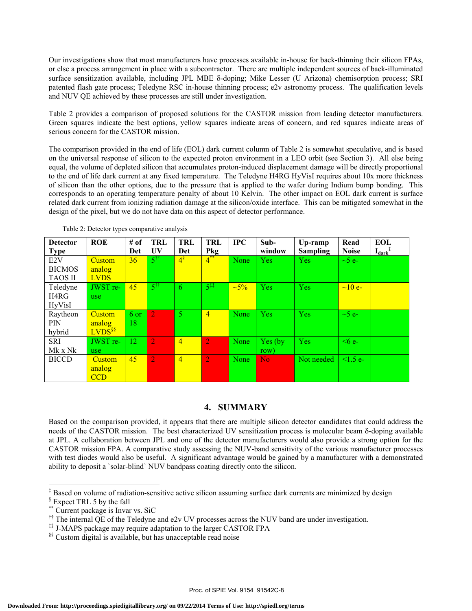Our investigations show that most manufacturers have processes available in-house for back-thinning their silicon FPAs, or else a process arrangement in place with a subcontractor. There are multiple independent sources of back-illuminated surface sensitization available, including JPL MBE δ-doping; Mike Lesser (U Arizona) chemisorption process; SRI patented flash gate process; Teledyne RSC in-house thinning process; e2v astronomy process. The qualification levels and NUV QE achieved by these processes are still under investigation.

Table 2 provides a comparison of proposed solutions for the CASTOR mission from leading detector manufacturers. Green squares indicate the best options, yellow squares indicate areas of concern, and red squares indicate areas of serious concern for the CASTOR mission.

The comparison provided in the end of life (EOL) dark current column of Table 2 is somewhat speculative, and is based on the universal response of silicon to the expected proton environment in a LEO orbit (see Section 3). All else being equal, the volume of depleted silicon that accumulates proton-induced displacement damage will be directly proportional to the end of life dark current at any fixed temperature. The Teledyne H4RG HyVisI requires about 10x more thickness of silicon than the other options, due to the pressure that is applied to the wafer during Indium bump bonding. This corresponds to an operating temperature penalty of about 10 Kelvin. The other impact on EOL dark current is surface related dark current from ionizing radiation damage at the silicon/oxide interface. This can be mitigated somewhat in the design of the pixel, but we do not have data on this aspect of detector performance.

| <b>Detector</b>  | <b>ROE</b>         | # of            | TRL                  | <b>TRL</b>     | TRL                    | $_{\rm IPC}$ | $Sub-$     | Up-ramp         | Read           | <b>EOL</b> |
|------------------|--------------------|-----------------|----------------------|----------------|------------------------|--------------|------------|-----------------|----------------|------------|
| <b>Type</b>      |                    | Det             | UV                   | Det            | Pkg                    |              | window     | <b>Sampling</b> | <b>Noise</b>   | $I_{dark}$ |
| E <sub>2</sub> V | <b>Custom</b>      | 36 <sup>°</sup> | $5^{\dagger\dagger}$ | $4^{\$}$       | $\overline{4}^{**}$    | None         | <b>Yes</b> | Yes             | $\sim$ 5 e $-$ |            |
| <b>BICMOS</b>    | analog             |                 |                      |                |                        |              |            |                 |                |            |
| <b>TAOS II</b>   | <b>LVDS</b>        |                 |                      |                |                        |              |            |                 |                |            |
| Teledyne         | JWST re-           | 45              | $5^{\dagger\dagger}$ | 6              | $5^{\ddagger\ddagger}$ | $\sim 5\%$   | <b>Yes</b> | <b>Yes</b>      | $\sim$ 10 e-   |            |
| H4RG             | use.               |                 |                      |                |                        |              |            |                 |                |            |
| <b>HyVisI</b>    |                    |                 |                      |                |                        |              |            |                 |                |            |
| Raytheon         | <b>Custom</b>      | 6 or            | $\overline{2}$       | $\overline{5}$ | $\overline{4}$         | None         | <b>Yes</b> | <b>Yes</b>      | $\sim$ 5 e-    |            |
| PIN              | analog             | 18              |                      |                |                        |              |            |                 |                |            |
| hybrid           | LVDS <sup>§§</sup> |                 |                      |                |                        |              |            |                 |                |            |
| <b>SRI</b>       | JWST re-           | 12              | $\overline{2}$       | $\overline{4}$ | $\overline{2}$         | None         | Yes (by)   | <b>Yes</b>      | $\leq 6$ e-    |            |
| Mk x Nk          | use.               |                 |                      |                |                        |              | row)       |                 |                |            |
| <b>BICCD</b>     | Custom             | 45              | $\overline{2}$       | $\overline{4}$ | $\overline{2}$         | None         | No.        | Not needed      | $1.5 e^{-}$    |            |
|                  | analog             |                 |                      |                |                        |              |            |                 |                |            |
|                  | <b>CCD</b>         |                 |                      |                |                        |              |            |                 |                |            |

Table 2: Detector types comparative analysis

### **4. SUMMARY**

Based on the comparison provided, it appears that there are multiple silicon detector candidates that could address the needs of the CASTOR mission. The best characterized UV sensitization process is molecular beam δ-doping available at JPL. A collaboration between JPL and one of the detector manufacturers would also provide a strong option for the CASTOR mission FPA. A comparative study assessing the NUV-band sensitivity of the various manufacturer processes with test diodes would also be useful. A significant advantage would be gained by a manufacturer with a demonstrated ability to deposit a `solar-blind` NUV bandpass coating directly onto the silicon.

 $\overline{a}$ 

<sup>‡</sup> Based on volume of radiation-sensitive active silicon assuming surface dark currents are minimized by design

<sup>§</sup> Expect TRL 5 by the fall

<sup>\*\*</sup> Current package is Invar vs. SiC

<sup>&</sup>lt;sup>††</sup> The internal QE of the Teledyne and e2v UV processes across the NUV band are under investigation.

<sup>‡‡</sup> J-MAPS package may require adaptation to the larger CASTOR FPA

<sup>§§</sup> Custom digital is available, but has unacceptable read noise